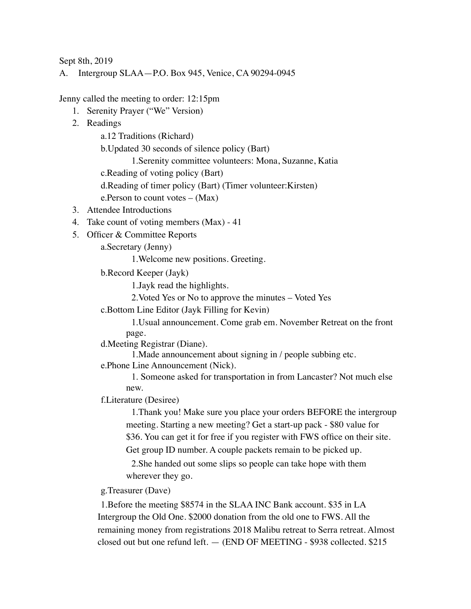Sept 8th, 2019

A. Intergroup SLAA—P.O. Box 945, Venice, CA 90294-0945

Jenny called the meeting to order: 12:15pm

- 1. Serenity Prayer ("We" Version)
- 2. Readings

a.12 Traditions (Richard)

b.Updated 30 seconds of silence policy (Bart)

1.Serenity committee volunteers: Mona, Suzanne, Katia

c.Reading of voting policy (Bart)

d.Reading of timer policy (Bart) (Timer volunteer:Kirsten)

e.Person to count votes – (Max)

- 3. Attendee Introductions
- 4. Take count of voting members (Max) 41
- 5. Officer & Committee Reports

a.Secretary (Jenny)

1.Welcome new positions. Greeting.

b.Record Keeper (Jayk)

1.Jayk read the highlights.

2.Voted Yes or No to approve the minutes – Voted Yes

c.Bottom Line Editor (Jayk Filling for Kevin)

1.Usual announcement. Come grab em. November Retreat on the front page.

d.Meeting Registrar (Diane).

1.Made announcement about signing in / people subbing etc.

e.Phone Line Announcement (Nick).

1. Someone asked for transportation in from Lancaster? Not much else new.

f.Literature (Desiree)

1.Thank you! Make sure you place your orders BEFORE the intergroup meeting. Starting a new meeting? Get a start-up pack - \$80 value for \$36. You can get it for free if you register with FWS office on their site. Get group ID number. A couple packets remain to be picked up.

2.She handed out some slips so people can take hope with them wherever they go.

g.Treasurer (Dave)

1.Before the meeting \$8574 in the SLAA INC Bank account. \$35 in LA Intergroup the Old One. \$2000 donation from the old one to FWS. All the remaining money from registrations 2018 Malibu retreat to Serra retreat. Almost closed out but one refund left. — (END OF MEETING - \$938 collected. \$215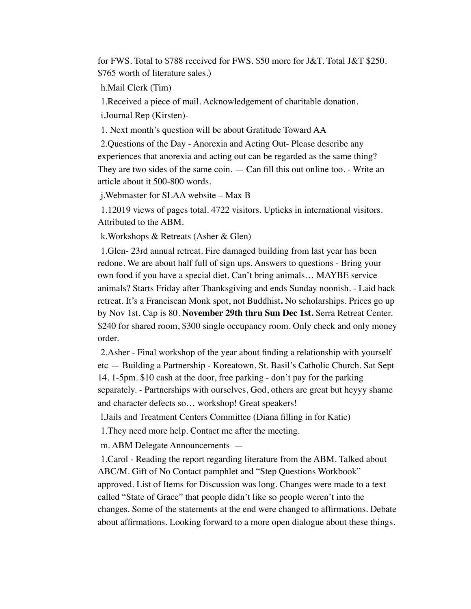for FWS. Total to \$788 received for FWS. \$50 more for J&T. Total J&T \$250. \$765 worth of literature sales.)

h.Mail Clerk (Tim)

1.Received a piece of mail. Acknowledgement of charitable donation.

i.Journal Rep (Kirsten)-

1. Next month's question will be about Gratitude Toward AA

2.Questions of the Day - Anorexia and Acting Out- Please describe any experiences that anorexia and acting out can be regarded as the same thing? They are two sides of the same coin. — Can fill this out online too. - Write an article about it 500-800 words.

j.Webmaster for SLAA website – Max B

1.12019 views of pages total. 4722 visitors. Upticks in international visitors. Attributed to the ABM.

k.Workshops & Retreats (Asher & Glen)

1.Glen- 23rd annual retreat. Fire damaged building from last year has been redone. We are about half full of sign ups. Answers to questions - Bring your own food if you have a special diet. Can't bring animals… MAYBE service animals? Starts Friday after Thanksgiving and ends Sunday noonish. - Laid back retreat. It's a Franciscan Monk spot, not Buddhist**.** No scholarships. Prices go up by Nov 1st. Cap is 80. **November 29th thru Sun Dec 1st.** Serra Retreat Center. \$240 for shared room, \$300 single occupancy room. Only check and only money order.

2.Asher - Final workshop of the year about finding a relationship with yourself etc — Building a Partnership - Koreatown, St. Basil's Catholic Church. Sat Sept 14. 1-5pm. \$10 cash at the door, free parking - don't pay for the parking separately. - Partnerships with ourselves, God, others are great but heyyy shame and character defects so… workshop! Great speakers!

l.Jails and Treatment Centers Committee (Diana filling in for Katie)

1.They need more help. Contact me after the meeting.

m. ABM Delegate Announcements —

1.Carol - Reading the report regarding literature from the ABM. Talked about ABC/M. Gift of No Contact pamphlet and "Step Questions Workbook" approved. List of Items for Discussion was long. Changes were made to a text called "State of Grace" that people didn't like so people weren't into the changes. Some of the statements at the end were changed to affirmations. Debate about affirmations. Looking forward to a more open dialogue about these things.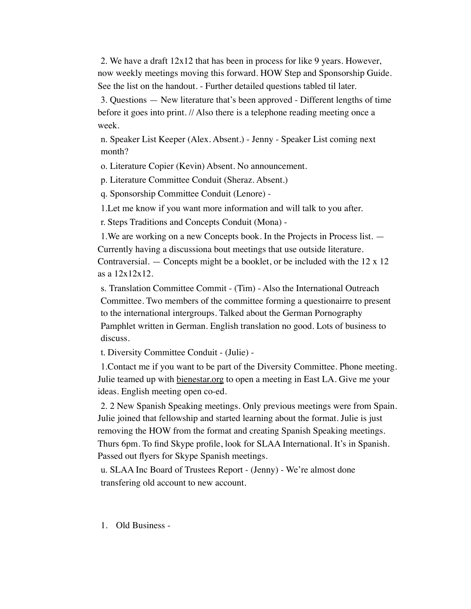2. We have a draft 12x12 that has been in process for like 9 years. However, now weekly meetings moving this forward. HOW Step and Sponsorship Guide. See the list on the handout. - Further detailed questions tabled til later.

3. Questions — New literature that's been approved - Different lengths of time before it goes into print. // Also there is a telephone reading meeting once a week.

n. Speaker List Keeper (Alex. Absent.) - Jenny - Speaker List coming next month?

o. Literature Copier (Kevin) Absent. No announcement.

p. Literature Committee Conduit (Sheraz. Absent.)

q. Sponsorship Committee Conduit (Lenore) -

1.Let me know if you want more information and will talk to you after.

r. Steps Traditions and Concepts Conduit (Mona) -

1.We are working on a new Concepts book. In the Projects in Process list. — Currently having a discussiona bout meetings that use outside literature. Contraversial. — Concepts might be a booklet, or be included with the 12 x 12 as a 12x12x12.

s. Translation Committee Commit - (Tim) - Also the International Outreach Committee. Two members of the committee forming a questionairre to present to the international intergroups. Talked about the German Pornography Pamphlet written in German. English translation no good. Lots of business to discuss.

t. Diversity Committee Conduit - (Julie) -

1.Contact me if you want to be part of the Diversity Committee. Phone meeting. Julie teamed up with [bienestar.org](http://bienestar.org) to open a meeting in East LA. Give me your ideas. English meeting open co-ed.

2. 2 New Spanish Speaking meetings. Only previous meetings were from Spain. Julie joined that fellowship and started learning about the format. Julie is just removing the HOW from the format and creating Spanish Speaking meetings. Thurs 6pm. To find Skype profile, look for SLAA International. It's in Spanish. Passed out flyers for Skype Spanish meetings.

u. SLAA Inc Board of Trustees Report - (Jenny) - We're almost done transfering old account to new account.

1. Old Business -